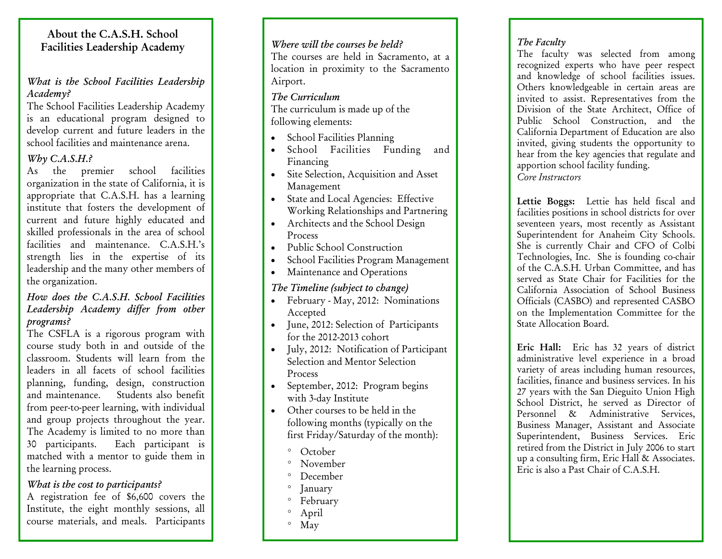# About the C.A.S.H. School Facilities Leadership Academy

### *What is the School Facilities Leadership Academy?*

The School Facilities Leadership Academy is an educational program designed to develop current and future leaders in the school facilities and maintenance arena.

## *Why C.A.S.H.?*

As the premier school facilities organization in the state of California, it is appropriate that C.A.S.H. has a learning institute that fosters the development of current and future highly educated and skilled professionals in the area of school facilities and maintenance. C.A.S.H.'s strength lies in the expertise of its leadership and the many other members of the organization.

### *How does the C.A.S.H. School Facilities Leadership Academy differ from other programs?*

The CSFLA is a rigorous program with course study both in and outside of the classroom. Students will learn from the leaders in all facets of school facilities <sup>p</sup>lanning, funding, design, construction and maintenance. Students also benefit from peer-to-peer learning, with individual and group projects throughout the year. The Academy is limited to no more than 30 participants. Each participant is matched with a mentor to guide them in the learning process.

## *What is the cost to participants?*

A registration fee of \$6,600 covers the Institute, the eight monthly sessions, all course materials, and meals. Participants

#### *Where will the courses be held?*

The courses are held in Sacramento, at a location in proximity to the Sacramento Airport.

#### *The Curriculum*

The curriculum is made up of the following elements:

- School Facilities Planning
- School Facilities Funding and Financing
- Site Selection, Acquisition and Asset Management
- State and Local Agencies: Effective Working Relationships and Partnering
- Architects and the School Design Process
- Public School Construction
- School Facilities Program Management
- Maintenance and Operations

## *The Timeline (subject to change)*

- February May, 2012: Nominations Accepted
- June, 2012: Selection of Participants for the 2012-2013 cohort
- July, 2012: Notification of Participant Selection and Mentor Selection Process
- September, 2012: Program begins with 3-day Institute
- Other courses to be held in the following months (typically on the first Friday/Saturday of the month):
	- ° October
	- ° November
	- ° December
	- ° January
	- ° February
	- ° April
	- ° May

# *The Faculty*

The faculty was selected from among recognized experts who have peer respect and knowledge of school facilities issues. Others knowledgeable in certain areas are invited to assist. Representatives from the Division of the State Architect, Office of Public School Construction, and the California Department of Education are also invited, giving students the opportunity to hear from the key agencies that regulate and apportion school facility funding. *Core Instructors* 

Lettie Boggs: Lettie has held fiscal and facilities positions in school districts for over seventeen years, most recently as Assistant Superintendent for Anaheim City Schools. She is currently Chair and CFO of Colbi Technologies, Inc. She is founding co-chair of the C.A.S.H. Urban Committee, and has served as State Chair for Facilities for the California Association of School Business Officials (CASBO) and represented CASBO on the Implementation Committee for the State Allocation Board.

Eric Hall: Eric has 32 years of district administrative level experience in a broad variety of areas including human resources, facilities, finance and business services. In his 27 years with the San Dieguito Union High School District, he served as Director of Personnel & Administrative Services, Business Manager, Assistant and Associate Superintendent, Business Services. Eric retired from the District in July 2006 to start up a consulting firm, Eric Hall & Associates. Eric is also a Past Chair of C.A.S.H.